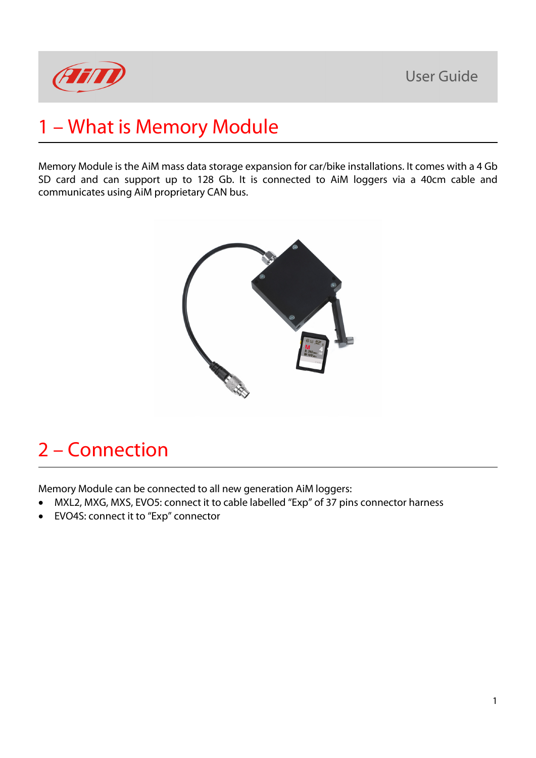

## 1 – What is Memory Module

Memory Module is the AiM mass data storage expansion for car/bike installations. It comes with a 4 Gb SD card and can support up to 128 Gb. It is connected to AiM loggers via a 40cm cable and communicates using AiM proprietary CAN bus.



### 2 – Connection

Memory Module can be connected to all new generation AiM loggers:

- MXL2, MXG, MXS, EVO5: connect it to cable labelled "Exp" of 37 pins connector harness
- EVO4S: connect it to "Exp" connector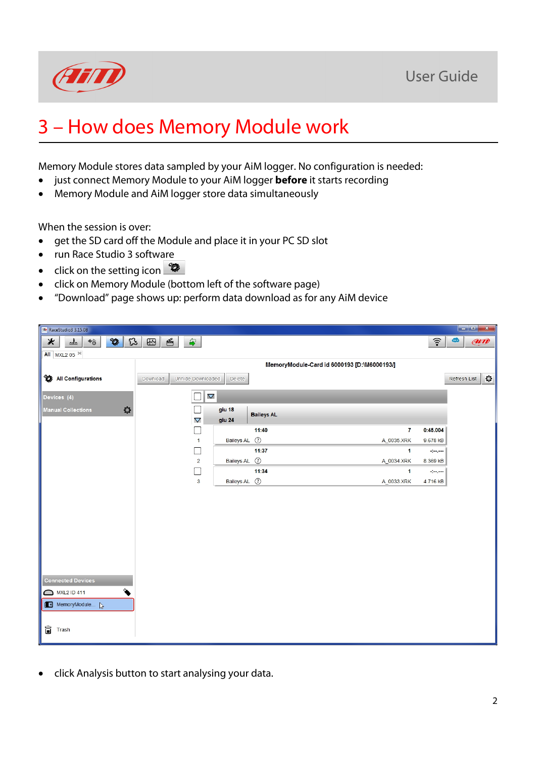



### 3 – How does Memory Module work

Memory Module stores data sampled by your AiM logger. No configuration is needed:

- just connect Memory Module to your AiM logger **before** it starts recording
- Memory Module and AiM logger store data simultaneously

When the session is over:

- get the SD card off the Module and place it in your PC SD slot
- run Race Studio 3 software
- click on the setting icon
- click on Memory Module (bottom left of the software page)
- "Download" page shows up: perform data download as for any AiM device

| RaceStudio3 3.15.08                                                         |                                      |                             |                                             |                 |                             |
|-----------------------------------------------------------------------------|--------------------------------------|-----------------------------|---------------------------------------------|-----------------|-----------------------------|
| $^{\circ}$<br>$\mathfrak{L}$<br>$\ast$<br>2th<br>$\leftrightarrow$          | $\mathbb{F}$<br>≝<br>$\hat{\bullet}$ |                             |                                             | ?               | <b>AND</b><br>Ф             |
| All MXL2 05 <sup>34</sup>                                                   |                                      |                             |                                             |                 |                             |
|                                                                             |                                      |                             | MemoryModule-Card id 6000193 [D:\M6000193/] |                 |                             |
| All Configurations                                                          | Unhide Downloaded<br>Download        | Delete                      |                                             |                 | $\mathbb Q$<br>Refresh List |
|                                                                             |                                      |                             |                                             |                 |                             |
| Devices (4)                                                                 | $\mathbf \nabla$                     |                             |                                             |                 |                             |
| O<br><b>Manual Collections</b>                                              |                                      | giu 18<br><b>Baileys AL</b> |                                             |                 |                             |
|                                                                             | $\mathbf \nabla$                     | giu 24                      |                                             |                 |                             |
|                                                                             | $\Box$                               | 11:40                       | $\overline{\mathbf{r}}$                     | 0:45.004        |                             |
|                                                                             | $\mathbf{1}$<br>□                    | Baileys AL (?)<br>11:37     | A_0035.XRK<br>1                             | 9.678 kB<br>سيب |                             |
|                                                                             | $\overline{2}$                       | Baileys AL (?)              | A_0034.XRK                                  | 8.369 kB        |                             |
|                                                                             | ┐                                    | 11:34                       | $\mathbf{1}$                                | سيبيه           |                             |
|                                                                             | 3                                    | Baileys AL (?)              | A_0033.XRK                                  | 4.716 kB        |                             |
|                                                                             |                                      |                             |                                             |                 |                             |
|                                                                             |                                      |                             |                                             |                 |                             |
|                                                                             |                                      |                             |                                             |                 |                             |
|                                                                             |                                      |                             |                                             |                 |                             |
|                                                                             |                                      |                             |                                             |                 |                             |
|                                                                             |                                      |                             |                                             |                 |                             |
|                                                                             |                                      |                             |                                             |                 |                             |
|                                                                             |                                      |                             |                                             |                 |                             |
| <b>Connected Devices</b>                                                    |                                      |                             |                                             |                 |                             |
| $\begin{matrix} \bullet \\ \bullet \end{matrix}$<br><b>MXL2 ID 411</b><br>◒ |                                      |                             |                                             |                 |                             |
| MemoryModule                                                                |                                      |                             |                                             |                 |                             |
|                                                                             |                                      |                             |                                             |                 |                             |
| Û<br>Trash                                                                  |                                      |                             |                                             |                 |                             |
|                                                                             |                                      |                             |                                             |                 |                             |

• click Analysis button to start analysing your data.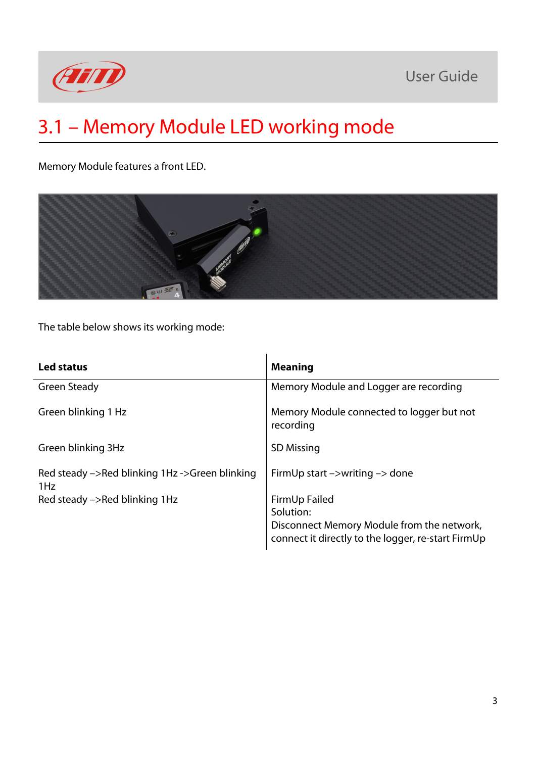

### **User Guide**

# 3.1 – Memory Module LED working mode

Memory Module features a front LED.



The table below shows its working mode:

| Led status                                            | <b>Meaning</b>                                                                                                                 |  |  |
|-------------------------------------------------------|--------------------------------------------------------------------------------------------------------------------------------|--|--|
| Green Steady                                          | Memory Module and Logger are recording                                                                                         |  |  |
| Green blinking 1 Hz                                   | Memory Module connected to logger but not<br>recording                                                                         |  |  |
| Green blinking 3Hz                                    | <b>SD Missing</b>                                                                                                              |  |  |
| Red steady ->Red blinking 1Hz ->Green blinking<br>1Hz | FirmUp start $\rightarrow$ writing $\rightarrow$ done                                                                          |  |  |
| Red steady ->Red blinking 1Hz                         | FirmUp Failed<br>Solution:<br>Disconnect Memory Module from the network,<br>connect it directly to the logger, re-start FirmUp |  |  |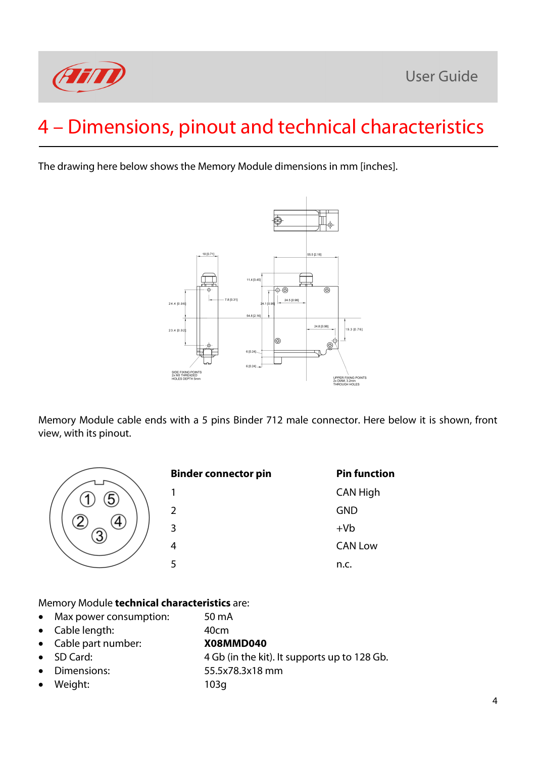

# 4 – Dimensions, pinout and technical characteristics

The drawing here below shows the Memory Module dimensions in mm [inches].



Memory Module cable ends with a 5 pins Binder 712 male connector. Here below it is shown, front view, with its pinout.



40cm

#### Memory Module **technical characteristics** are:

- Max power consumption: 50 mA
- Cable length:
- Cable part number: **X08MMD040**
- SD Card:
- Dimensions:
- Weight:
- 4 Gb (in the kit). It supports up to 128 Gb.
- 55.5x78.3x18 mm 103g